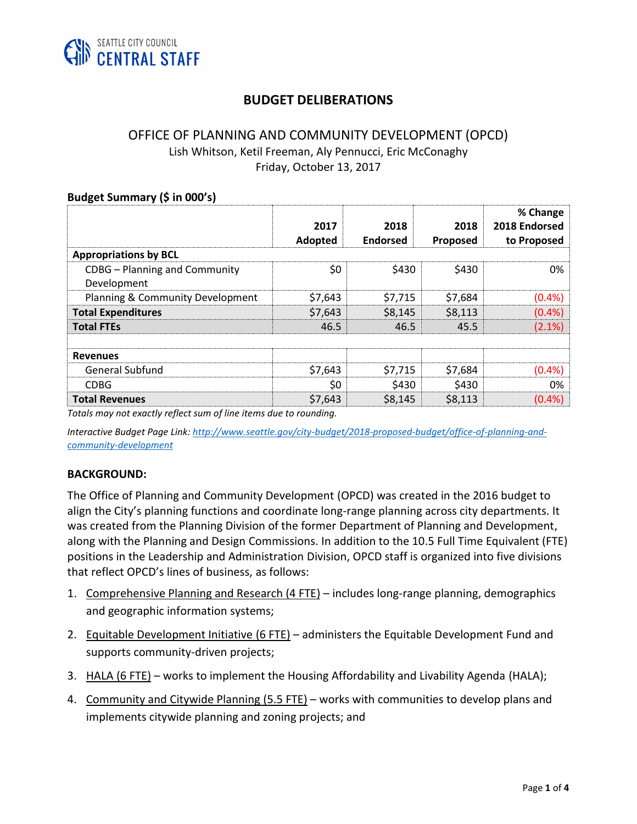

# **BUDGET DELIBERATIONS**

#### OFFICE OF PLANNING AND COMMUNITY DEVELOPMENT (OPCD) Lish Whitson, Ketil Freeman, Aly Pennucci, Eric McConaghy Friday, October 13, 2017

| Budget Summary (\$ in 000's)                 |                 |                         |                  |                                          |
|----------------------------------------------|-----------------|-------------------------|------------------|------------------------------------------|
|                                              | 2017<br>Adopted | 2018<br><b>Endorsed</b> | 2018<br>Proposed | % Change<br>2018 Endorsed<br>to Proposed |
| <b>Appropriations by BCL</b>                 |                 |                         |                  |                                          |
| CDBG - Planning and Community<br>Development | \$0             | \$430                   | \$430            | 0%                                       |
| Planning & Community Development             | \$7,643         | \$7,715                 | \$7,684          | (0.4% )                                  |
|                                              |                 |                         |                  |                                          |
| <b>Total Expenditures</b>                    | \$7,643         | \$8,145                 | \$8,113          | (0.4% )                                  |
| <b>Total FTEs</b>                            | 46.5            | 46.5                    | 45.5             | (2.1%)                                   |
|                                              |                 |                         |                  |                                          |
| <b>Revenues</b>                              |                 |                         |                  |                                          |
| <b>General Subfund</b>                       | \$7,643         | \$7,715                 | \$7,684          | (0.4% )                                  |
| <b>CDBG</b>                                  | \$0             | \$430                   | \$430            | 0%                                       |
| <b>Total Revenues</b>                        | \$7,643         | \$8,145                 | \$8,113          | (0.4% )                                  |
|                                              |                 |                         |                  |                                          |

*Totals may not exactly reflect sum of line items due to rounding.*

*Interactive Budget Page Link: [http://www.seattle.gov/city-budget/2018-proposed-budget/office-of-planning-and](http://www.seattle.gov/city-budget/2018-proposed-budget/office-of-planning-and-community-development)[community-development](http://www.seattle.gov/city-budget/2018-proposed-budget/office-of-planning-and-community-development)*

#### **BACKGROUND:**

The Office of Planning and Community Development (OPCD) was created in the 2016 budget to align the City's planning functions and coordinate long-range planning across city departments. It was created from the Planning Division of the former Department of Planning and Development, along with the Planning and Design Commissions. In addition to the 10.5 Full Time Equivalent (FTE) positions in the Leadership and Administration Division, OPCD staff is organized into five divisions that reflect OPCD's lines of business, as follows:

- 1. Comprehensive Planning and Research (4 FTE) includes long-range planning, demographics and geographic information systems;
- 2. Equitable Development Initiative (6 FTE) administers the Equitable Development Fund and supports community-driven projects;
- 3. HALA (6 FTE) works to implement the Housing Affordability and Livability Agenda (HALA);
- 4. Community and Citywide Planning (5.5 FTE) works with communities to develop plans and implements citywide planning and zoning projects; and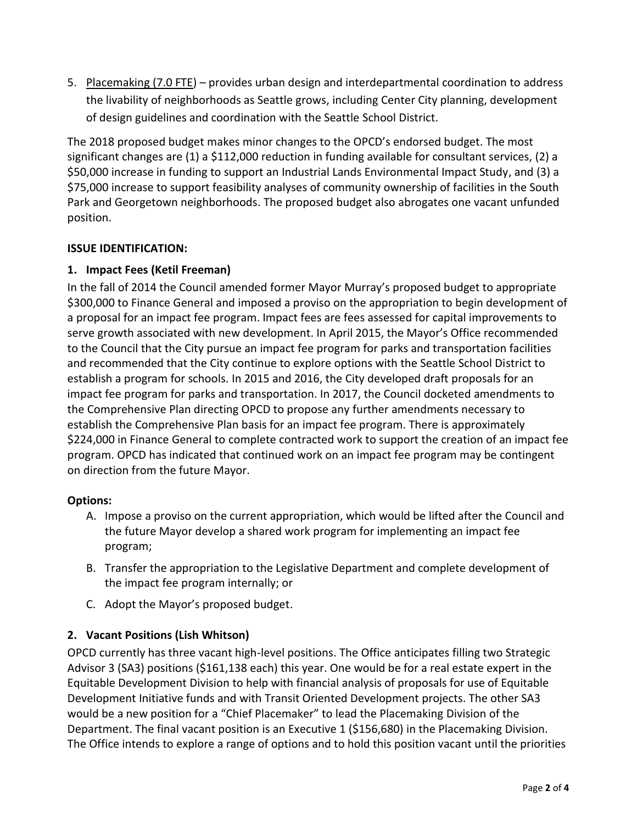5. Placemaking (7.0 FTE) – provides urban design and interdepartmental coordination to address the livability of neighborhoods as Seattle grows, including Center City planning, development of design guidelines and coordination with the Seattle School District.

The 2018 proposed budget makes minor changes to the OPCD's endorsed budget. The most significant changes are (1) a \$112,000 reduction in funding available for consultant services, (2) a \$50,000 increase in funding to support an Industrial Lands Environmental Impact Study, and (3) a \$75,000 increase to support feasibility analyses of community ownership of facilities in the South Park and Georgetown neighborhoods. The proposed budget also abrogates one vacant unfunded position.

### **ISSUE IDENTIFICATION:**

### **1. Impact Fees (Ketil Freeman)**

In the fall of 2014 the Council amended former Mayor Murray's proposed budget to appropriate \$300,000 to Finance General and imposed a proviso on the appropriation to begin development of a proposal for an impact fee program. Impact fees are fees assessed for capital improvements to serve growth associated with new development. In April 2015, the Mayor's Office recommended to the Council that the City pursue an impact fee program for parks and transportation facilities and recommended that the City continue to explore options with the Seattle School District to establish a program for schools. In 2015 and 2016, the City developed draft proposals for an impact fee program for parks and transportation. In 2017, the Council docketed amendments to the Comprehensive Plan directing OPCD to propose any further amendments necessary to establish the Comprehensive Plan basis for an impact fee program. There is approximately \$224,000 in Finance General to complete contracted work to support the creation of an impact fee program. OPCD has indicated that continued work on an impact fee program may be contingent on direction from the future Mayor.

#### **Options:**

- A. Impose a proviso on the current appropriation, which would be lifted after the Council and the future Mayor develop a shared work program for implementing an impact fee program;
- B. Transfer the appropriation to the Legislative Department and complete development of the impact fee program internally; or
- C. Adopt the Mayor's proposed budget.

# **2. Vacant Positions (Lish Whitson)**

OPCD currently has three vacant high-level positions. The Office anticipates filling two Strategic Advisor 3 (SA3) positions (\$161,138 each) this year. One would be for a real estate expert in the Equitable Development Division to help with financial analysis of proposals for use of Equitable Development Initiative funds and with Transit Oriented Development projects. The other SA3 would be a new position for a "Chief Placemaker" to lead the Placemaking Division of the Department. The final vacant position is an Executive 1 (\$156,680) in the Placemaking Division. The Office intends to explore a range of options and to hold this position vacant until the priorities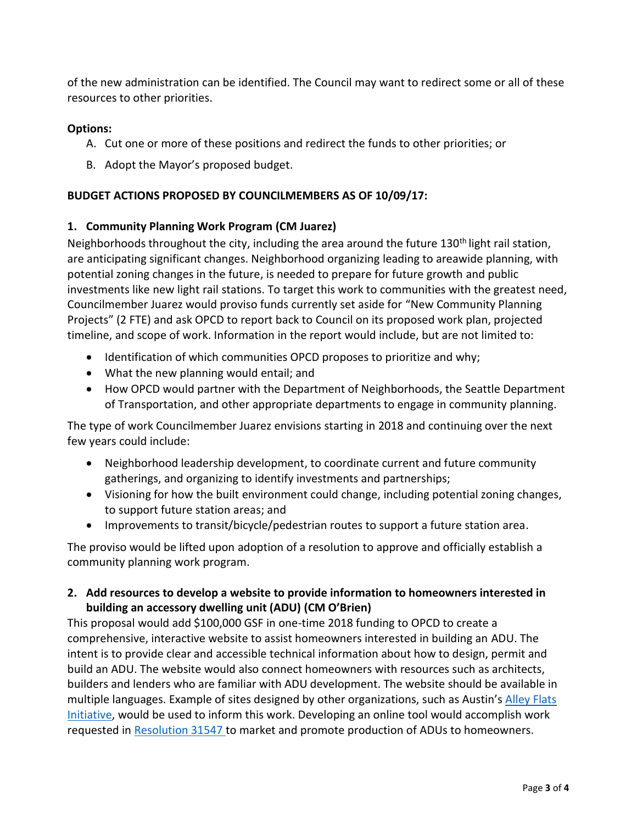of the new administration can be identified. The Council may want to redirect some or all of these resources to other priorities.

### **Options:**

- A. Cut one or more of these positions and redirect the funds to other priorities; or
- B. Adopt the Mayor's proposed budget.

## **BUDGET ACTIONS PROPOSED BY COUNCILMEMBERS AS OF 10/09/17:**

### **1. Community Planning Work Program (CM Juarez)**

Neighborhoods throughout the city, including the area around the future 130<sup>th</sup> light rail station, are anticipating significant changes. Neighborhood organizing leading to areawide planning, with potential zoning changes in the future, is needed to prepare for future growth and public investments like new light rail stations. To target this work to communities with the greatest need, Councilmember Juarez would proviso funds currently set aside for "New Community Planning Projects" (2 FTE) and ask OPCD to report back to Council on its proposed work plan, projected timeline, and scope of work. Information in the report would include, but are not limited to:

- Identification of which communities OPCD proposes to prioritize and why;
- What the new planning would entail; and
- How OPCD would partner with the Department of Neighborhoods, the Seattle Department of Transportation, and other appropriate departments to engage in community planning.

The type of work Councilmember Juarez envisions starting in 2018 and continuing over the next few years could include:

- Neighborhood leadership development, to coordinate current and future community gatherings, and organizing to identify investments and partnerships;
- Visioning for how the built environment could change, including potential zoning changes, to support future station areas; and
- Improvements to transit/bicycle/pedestrian routes to support a future station area.

The proviso would be lifted upon adoption of a resolution to approve and officially establish a community planning work program.

### **2. Add resources to develop a website to provide information to homeowners interested in building an accessory dwelling unit (ADU) (CM O'Brien)**

This proposal would add \$100,000 GSF in one-time 2018 funding to OPCD to create a comprehensive, interactive website to assist homeowners interested in building an ADU. The intent is to provide clear and accessible technical information about how to design, permit and build an ADU. The website would also connect homeowners with resources such as architects, builders and lenders who are familiar with ADU development. The website should be available in multiple languages. Example of sites designed by other organizations, such as Austin's [Alley Flats](http://thealleyflatinitiative.org/)  [Initiative,](http://thealleyflatinitiative.org/) would be used to inform this work. Developing an online tool would accomplish work requested in [Resolution 31547](http://clerk.ci.seattle.wa.us/~legislativeItems/Resolutions/Resn_31547.pdf) to market and promote production of ADUs to homeowners.